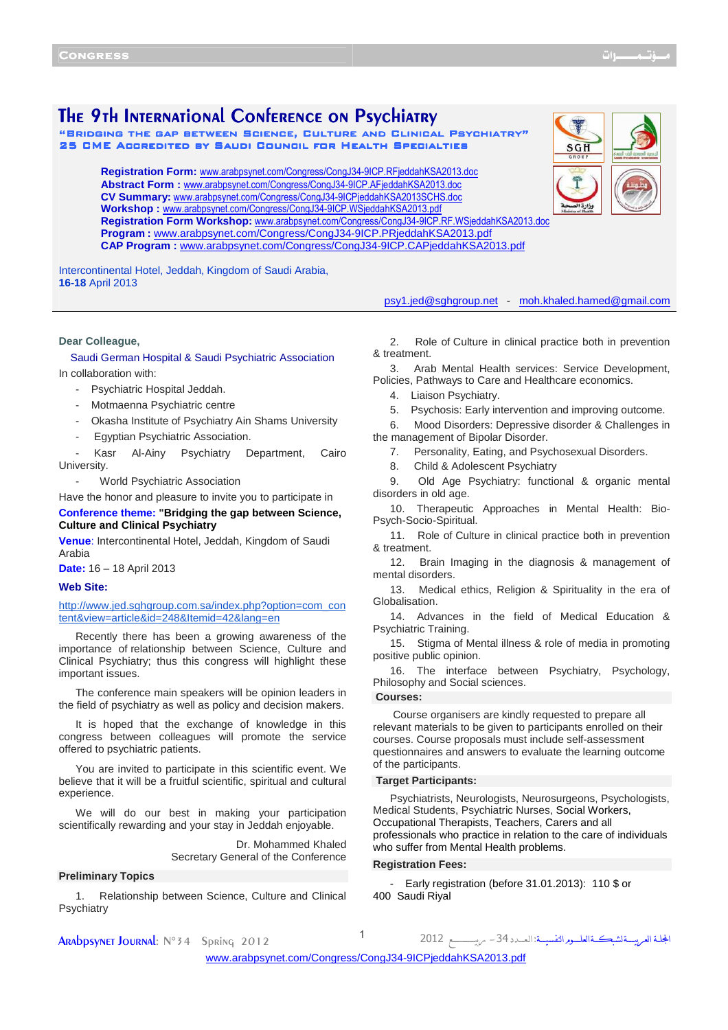SGH

# The 9th International Conference on Psychiatry

"Bridging the gap between Science, Culture and Clinical Psychiatry" cal 25 CME ACCREDITED BY SAUDI COUNCIL FOR HEALTH SPECIALTIES

**Registration Form:** <www.arabpsynet.com/Congress/CongJ34-9ICP.RFjeddahKSA2013.doc> **Abstract Form :** <www.arabpsynet.com/Congress/CongJ34-9ICP.AFjeddahKSA2013.doc> **CV Summary:** <www.arabpsynet.com/Congress/CongJ34-9ICPjeddahKSA2013SCHS.doc> **Workshop :** <www.arabpsynet.com/Congress/CongJ34-9ICP.WSjeddahKSA2013.pdf> **Registration Form Workshop:** [www.arabpsynet.com/Congress/CongJ34-9ICP.RF.WSjeddahKSA2013.doc](: www.arabpsynet.com/Congress/CongJ34-9ICP.RF.WSjeddahKSA2013.doc) **Program :** <www.arabpsynet.com/Congress/CongJ34-9ICP.PRjeddahKSA2013.pdf> **CAP Program :** <www.arabpsynet.com/Congress/CongJ34-9ICP.CAPjeddahKSA2013.pdf>

Intercontinental Hotel, Jeddah, Kingdom of Saudi Arabia, **16-18** April 2013

#### **Dear Colleague,**

# Saudi German Hospital & Saudi Psychiatric Association In collaboration with:

- Psychiatric Hospital Jeddah.
- Motmaenna Psychiatric centre
- Okasha Institute of Psychiatry Ain Shams University
- Egyptian Psychiatric Association.

Kasr Al-Ainy Psychiatry Department, Cairo University.

World Psychiatric Association

Have the honor and pleasure to invite you to participate in

### **Conference theme: "Bridging the gap between Science, Culture and Clinical Psychiatry**

**Venue**: Intercontinental Hotel, Jeddah, Kingdom of Saudi Arabia

**Date:** 16 – 18 April 2013

# **Web Site:**

http://www.jed.sghgroup.com.sa/index.php?option=com\_con tent&view=article&id=248&Itemid=42&lang=en

Recently there has been a growing awareness of the importance of relationship between Science, Culture and Clinical Psychiatry; thus this congress will highlight these important issues.

The conference main speakers will be opinion leaders in the field of psychiatry as well as policy and decision makers.

It is hoped that the exchange of knowledge in this congress between colleagues will promote the service offered to psychiatric patients.

You are invited to participate in this scientific event. We believe that it will be a fruitful scientific, spiritual and cultural experience.

We will do our best in making your participation scientifically rewarding and your stay in Jeddah enjoyable.

> Dr. Mohammed Khaled Secretary General of the Conference

### **Preliminary Topics**

1. Relationship between Science, Culture and Clinical Psychiatry

Ī

psy1.jed@sghgroup.net - moh.khaled.hamed@gmail.com

2. Role of Culture in clinical practice both in prevention & treatment.

3. Arab Mental Health services: Service Development, Policies, Pathways to Care and Healthcare economics.

4. Liaison Psychiatry.

- 5. Psychosis: Early intervention and improving outcome.
- 6. Mood Disorders: Depressive disorder & Challenges in

the management of Bipolar Disorder.

- 7. Personality, Eating, and Psychosexual Disorders.
- 8. Child & Adolescent Psychiatry

9. Old Age Psychiatry: functional & organic mental disorders in old age.

10. Therapeutic Approaches in Mental Health: Bio-Psych-Socio-Spiritual.

11. Role of Culture in clinical practice both in prevention & treatment.

12. Brain Imaging in the diagnosis & management of mental disorders.

13. Medical ethics, Religion & Spirituality in the era of Globalisation.

14. Advances in the field of Medical Education & Psychiatric Training.

15. Stigma of Mental illness & role of media in promoting positive public opinion.

16. The interface between Psychiatry, Psychology, Philosophy and Social sciences.

**Courses:**

Course organisers are kindly requested to prepare all relevant materials to be given to participants enrolled on their courses. Course proposals must include self-assessment questionnaires and answers to evaluate the learning outcome of the participants.

### **Target Participants:**

Psychiatrists, Neurologists, Neurosurgeons, Psychologists, Medical Students, Psychiatric Nurses, Social Workers, Occupational Therapists, Teachers, Carers and all professionals who practice in relation to the care of individuals who suffer from Mental Health problems.

### **Registration Fees:**

- Early registration (before 31.01.2013): 110 \$ or 400 Saudi Riyal

אــ א
ـــــ ـــ א
ــــــم אــــ :אـ
ــــد <sup>34</sup> ـــــــــــــــــ <sup>2012</sup> <sup>1</sup> <sup>2012</sup> Spring °34<sup>N</sup> :Journal Arabpsynet

<www.arabpsynet.com/Congress/CongJ34-9ICPjeddahKSA2013.pdf>